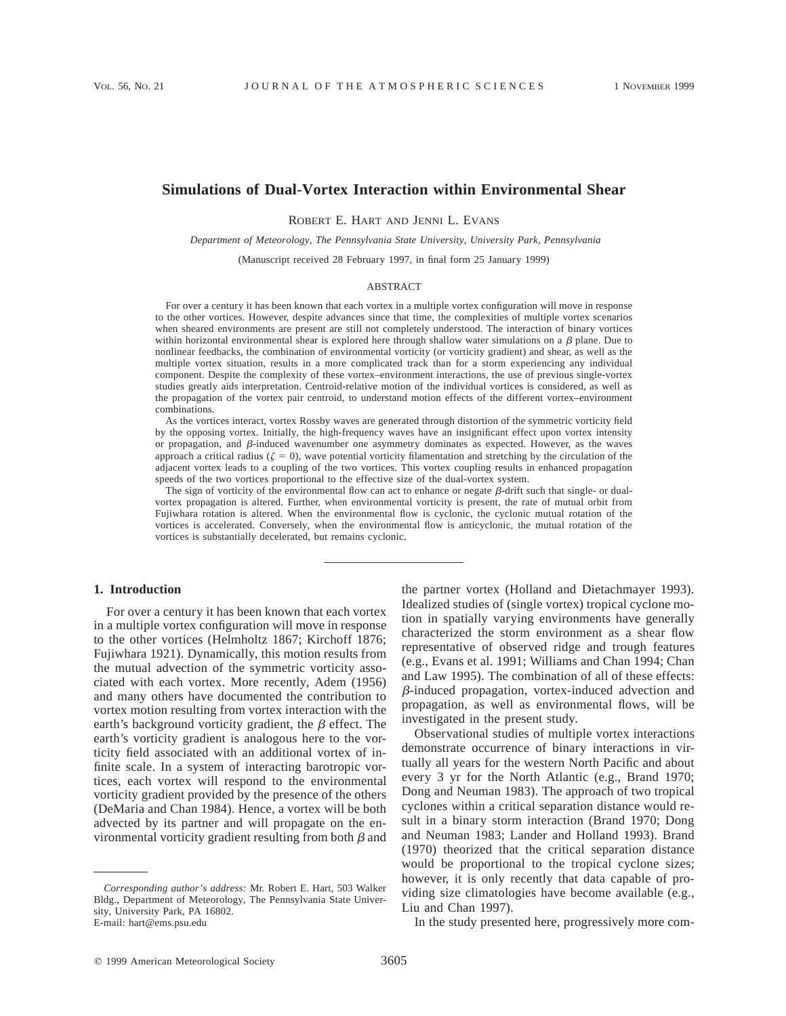# **Simulations of Dual-Vortex Interaction within Environmental Shear**

ROBERT E. HART AND JENNI L. EVANS

*Department of Meteorology, The Pennsylvania State University, University Park, Pennsylvania*

(Manuscript received 28 February 1997, in final form 25 January 1999)

#### ABSTRACT

For over a century it has been known that each vortex in a multiple vortex configuration will move in response to the other vortices. However, despite advances since that time, the complexities of multiple vortex scenarios when sheared environments are present are still not completely understood. The interaction of binary vortices within horizontal environmental shear is explored here through shallow water simulations on a  $\beta$  plane. Due to nonlinear feedbacks, the combination of environmental vorticity (or vorticity gradient) and shear, as well as the multiple vortex situation, results in a more complicated track than for a storm experiencing any individual component. Despite the complexity of these vortex–environment interactions, the use of previous single-vortex studies greatly aids interpretation. Centroid-relative motion of the individual vortices is considered, as well as the propagation of the vortex pair centroid, to understand motion effects of the different vortex–environment combinations.

As the vortices interact, vortex Rossby waves are generated through distortion of the symmetric vorticity field by the opposing vortex. Initially, the high-frequency waves have an insignificant effect upon vortex intensity or propagation, and  $\beta$ -induced wavenumber one asymmetry dominates as expected. However, as the waves approach a critical radius ( $\zeta = 0$ ), wave potential vorticity filamentation and stretching by the circulation of the adjacent vortex leads to a coupling of the two vortices. This vortex coupling results in enhanced propagation speeds of the two vortices proportional to the effective size of the dual-vortex system.

The sign of vorticity of the environmental flow can act to enhance or negate  $\beta$ -drift such that single- or dualvortex propagation is altered. Further, when environmental vorticity is present, the rate of mutual orbit from Fujiwhara rotation is altered. When the environmental flow is cyclonic, the cyclonic mutual rotation of the vortices is accelerated. Conversely, when the environmental flow is anticyclonic, the mutual rotation of the vortices is substantially decelerated, but remains cyclonic.

#### **1. Introduction**

For over a century it has been known that each vortex in a multiple vortex configuration will move in response to the other vortices (Helmholtz 1867; Kirchoff 1876; Fujiwhara 1921). Dynamically, this motion results from the mutual advection of the symmetric vorticity associated with each vortex. More recently, Adem (1956) and many others have documented the contribution to vortex motion resulting from vortex interaction with the earth's background vorticity gradient, the  $\beta$  effect. The earth's vorticity gradient is analogous here to the vorticity field associated with an additional vortex of infinite scale. In a system of interacting barotropic vortices, each vortex will respond to the environmental vorticity gradient provided by the presence of the others (DeMaria and Chan 1984). Hence, a vortex will be both advected by its partner and will propagate on the environmental vorticity gradient resulting from both  $\beta$  and the partner vortex (Holland and Dietachmayer 1993). Idealized studies of (single vortex) tropical cyclone motion in spatially varying environments have generally characterized the storm environment as a shear flow representative of observed ridge and trough features (e.g., Evans et al. 1991; Williams and Chan 1994; Chan and Law 1995). The combination of all of these effects:  $\beta$ -induced propagation, vortex-induced advection and propagation, as well as environmental flows, will be investigated in the present study.

Observational studies of multiple vortex interactions demonstrate occurrence of binary interactions in virtually all years for the western North Pacific and about every 3 yr for the North Atlantic (e.g., Brand 1970; Dong and Neuman 1983). The approach of two tropical cyclones within a critical separation distance would result in a binary storm interaction (Brand 1970; Dong and Neuman 1983; Lander and Holland 1993). Brand (1970) theorized that the critical separation distance would be proportional to the tropical cyclone sizes; however, it is only recently that data capable of providing size climatologies have become available (e.g., Liu and Chan 1997).

In the study presented here, progressively more com-

*Corresponding author's address:* Mr. Robert E. Hart, 503 Walker Bldg., Department of Meteorology, The Pennsylvania State University, University Park, PA 16802. E-mail: hart@ems.psu.edu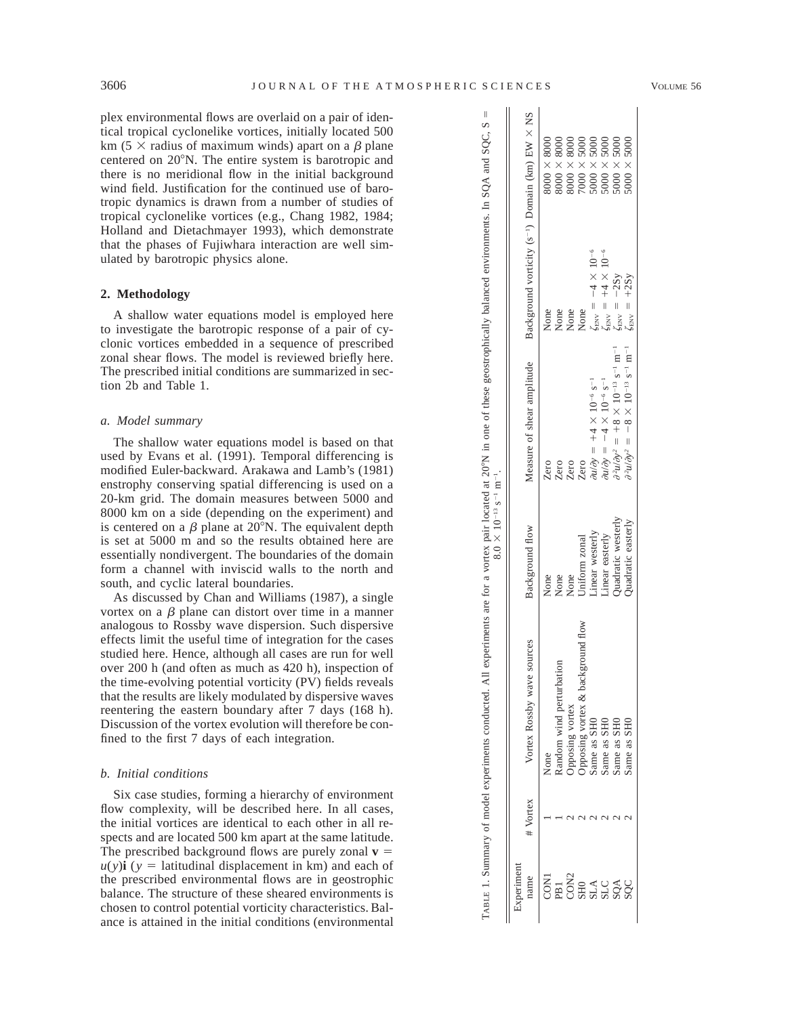plex environmental flows are overlaid on a pair of identical tropical cyclonelike vortices, initially located 500 km (5  $\times$  radius of maximum winds) apart on a  $\beta$  plane centered on 20°N. The entire system is barotropic and there is no meridional flow in the initial background wind field. Justification for the continued use of barotropic dynamics is drawn from a number of studies of tropical cyclonelike vortices (e.g., Chang 1982, 1984; Holland and Dietachmayer 1993), which demonstrate that the phases of Fujiwhara interaction are well sim-

#### **2. Methodology**

ulated by barotropic physics alone.

A shallow water equations model is employed here to investigate the barotropic response of a pair of cyclonic vortices embedded in a sequence of prescribed zonal shear flows. The model is reviewed briefly here. The prescribed initial conditions are summarized in section 2b and Table 1.

# *a. Model summary*

The shallow water equations model is based on that used by Evans et al. (1991). Temporal differencing is modified Euler-backward. Arakawa and Lamb's (1981) enstrophy conserving spatial differencing is used on a 20-km grid. The domain measures between 5000 and 8000 km on a side (depending on the experiment) and is centered on a  $\beta$  plane at 20°N. The equivalent depth is set at 5000 m and so the results obtained here are essentially nondivergent. The boundaries of the domain form a channel with inviscid walls to the north and south, and cyclic lateral boundaries.

As discussed by Chan and Williams (1987), a single vortex on a  $\beta$  plane can distort over time in a manner analogous to Rossby wave dispersion. Such dispersive effects limit the useful time of integration for the cases studied here. Hence, although all cases are run for well over 200 h (and often as much as 420 h), inspection of the time-evolving potential vorticity (PV) fields reveals that the results are likely modulated by dispersive waves reentering the eastern boundary after 7 days (168 h). Discussion of the vortex evolution will therefore be confined to the first 7 days of each integration.

#### *b. Initial conditions*

Six case studies, forming a hierarchy of environment flow complexity, will be described here. In all cases, the initial vortices are identical to each other in all respects and are located 500 km apart at the same latitude. The prescribed background flows are purely zonal  $v =$  $u(y)$ **i** ( $y =$  latitudinal displacement in km) and each of the prescribed environmental flows are in geostrophic balance. The structure of these sheared environments is chosen to control potential vorticity characteristics. Balance is attained in the initial conditions (environmental

|                                  |          | ABLE 1. Summary of model experiments conducted. All $\theta$ | $8.0 \times 10^{-13}$ s <sup>-1</sup> m <sup>-1</sup> . | experiments are for a vortex pair located at 20°N in one of these geostrophically balanced environments. In SQA and SQC, $S =$ |                                                              |                                                                                                                                 |
|----------------------------------|----------|--------------------------------------------------------------|---------------------------------------------------------|--------------------------------------------------------------------------------------------------------------------------------|--------------------------------------------------------------|---------------------------------------------------------------------------------------------------------------------------------|
| xperiment<br>hame                | # Vortex | Vortex Rossby wave sources                                   | Background flow                                         | Measure of shear amplitude                                                                                                     | Background vorticity ( $s^{-1}$ ) Domain (km) EW $\times$ NS |                                                                                                                                 |
|                                  |          | None                                                         | None                                                    | Zero                                                                                                                           | None                                                         | $3000 \times 8000$                                                                                                              |
| CON <sub>:</sub>                 |          | andom wind perturbation                                      | None                                                    | Zero                                                                                                                           | None                                                         | $8000 \times 8000$                                                                                                              |
|                                  |          | pposing vortex                                               | None                                                    | Zero                                                                                                                           | None                                                         |                                                                                                                                 |
|                                  |          |                                                              | Uniform zonal                                           | Zero                                                                                                                           | None                                                         | $\begin{array}{c} 8000\times 8000 \\ 7000\times 5000 \end{array}$                                                               |
|                                  |          | Opposing vortex & background flow<br>Same as SH0             | Linear westerly                                         | $\partial u/\partial y = +4 \times 10^{-6}$ s <sup>-1</sup>                                                                    | $\zeta_{\rm EW} = -4 \times 10^{-6}$                         |                                                                                                                                 |
|                                  |          | Same as SHO                                                  | Linear easterly                                         | $\partial u/\partial y = -4 \times 10^{-6}$ s <sup>-1</sup>                                                                    | $\zeta_{\text{ENV}} = +4 \times 10^{-6}$                     |                                                                                                                                 |
|                                  |          | Same as SHO                                                  | Quadratic westerly                                      | $\partial^2 u/\partial y^2 = +8 \times 10^{-13}$ s <sup>-1</sup> m <sup>-1</sup>                                               | $\zeta_{\text{ENV}} = -2Sy$                                  | $\begin{array}{l} 5000 \times 5000 \\ 5000 \times 5000 \\ 5000 \times 5000 \\ 5000 \times 5000 \\ 5000 \times 5000 \end{array}$ |
| CON2<br>SHO<br>SHO<br>SQC<br>SQC |          | Same as SHO                                                  | Quadratic easterly                                      | $\partial^2 u/\partial y^2 = -8 \times 10^{-13} \text{ s}^{-1} \text{ m}^{-1}$                                                 | $\zeta_{\text{EW}} = +2Sy$                                   |                                                                                                                                 |

II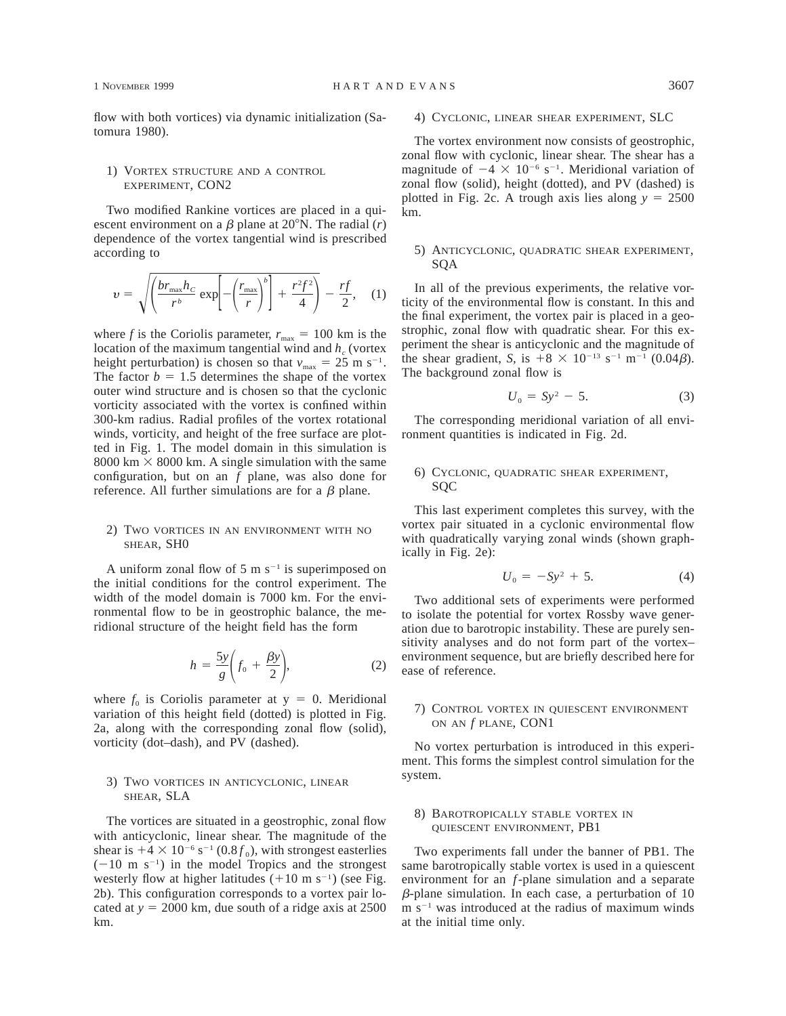flow with both vortices) via dynamic initialization (Satomura 1980).

# 1) VORTEX STRUCTURE AND A CONTROL EXPERIMENT, CON2

Two modified Rankine vortices are placed in a quiescent environment on a  $\beta$  plane at 20°N. The radial (*r*) dependence of the vortex tangential wind is prescribed according to

$$
v = \sqrt{\left(\frac{br_{\text{max}}h_C}{r^b} \exp\left[-\left(\frac{r_{\text{max}}}{r}\right)^b\right] + \frac{r^2f^2}{4}\right)} - \frac{rf}{2}, \quad (1)
$$

where *f* is the Coriolis parameter,  $r_{\text{max}} = 100 \text{ km}$  is the location of the maximum tangential wind and  $h_c$  (vortex height perturbation) is chosen so that  $v_{\text{max}} = 25 \text{ m s}^{-1}$ . The factor  $b = 1.5$  determines the shape of the vortex outer wind structure and is chosen so that the cyclonic vorticity associated with the vortex is confined within 300-km radius. Radial profiles of the vortex rotational winds, vorticity, and height of the free surface are plotted in Fig. 1. The model domain in this simulation is 8000 km  $\times$  8000 km. A single simulation with the same configuration, but on an *f* plane, was also done for reference. All further simulations are for a  $\beta$  plane.

### 2) TWO VORTICES IN AN ENVIRONMENT WITH NO SHEAR, SH0

A uniform zonal flow of 5 m  $s^{-1}$  is superimposed on the initial conditions for the control experiment. The width of the model domain is 7000 km. For the environmental flow to be in geostrophic balance, the meridional structure of the height field has the form

$$
h = \frac{5y}{g} \left( f_0 + \frac{\beta y}{2} \right),\tag{2}
$$

where  $f_0$  is Coriolis parameter at  $y = 0$ . Meridional variation of this height field (dotted) is plotted in Fig. 2a, along with the corresponding zonal flow (solid), vorticity (dot–dash), and PV (dashed).

# 3) TWO VORTICES IN ANTICYCLONIC, LINEAR SHEAR, SLA

The vortices are situated in a geostrophic, zonal flow with anticyclonic, linear shear. The magnitude of the shear is  $+4 \times 10^{-6}$  s<sup>-1</sup> (0.8 $f<sub>0</sub>$ ), with strongest easterlies  $(-10 \text{ m s}^{-1})$  in the model Tropics and the strongest westerly flow at higher latitudes  $(+10 \text{ m s}^{-1})$  (see Fig. 2b). This configuration corresponds to a vortex pair located at  $y = 2000$  km, due south of a ridge axis at 2500 km.

# 4) CYCLONIC, LINEAR SHEAR EXPERIMENT, SLC

The vortex environment now consists of geostrophic, zonal flow with cyclonic, linear shear. The shear has a magnitude of  $-4 \times 10^{-6}$  s<sup>-1</sup>. Meridional variation of zonal flow (solid), height (dotted), and PV (dashed) is plotted in Fig. 2c. A trough axis lies along  $y = 2500$ km.

#### 5) ANTICYCLONIC, QUADRATIC SHEAR EXPERIMENT, SQA

In all of the previous experiments, the relative vorticity of the environmental flow is constant. In this and the final experiment, the vortex pair is placed in a geostrophic, zonal flow with quadratic shear. For this experiment the shear is anticyclonic and the magnitude of the shear gradient, *S*, is  $+8 \times 10^{-13}$  s<sup>-1</sup> m<sup>-1</sup> (0.04*β*). The background zonal flow is

$$
U_0 = Sy^2 - 5.
$$
 (3)

The corresponding meridional variation of all environment quantities is indicated in Fig. 2d.

### 6) CYCLONIC, QUADRATIC SHEAR EXPERIMENT, SQC

This last experiment completes this survey, with the vortex pair situated in a cyclonic environmental flow with quadratically varying zonal winds (shown graphically in Fig. 2e):

$$
U_0 = -Sy^2 + 5. \tag{4}
$$

Two additional sets of experiments were performed to isolate the potential for vortex Rossby wave generation due to barotropic instability. These are purely sensitivity analyses and do not form part of the vortex– environment sequence, but are briefly described here for ease of reference.

# 7) CONTROL VORTEX IN QUIESCENT ENVIRONMENT ON AN *f* PLANE, CON1

No vortex perturbation is introduced in this experiment. This forms the simplest control simulation for the system.

### 8) BAROTROPICALLY STABLE VORTEX IN QUIESCENT ENVIRONMENT, PB1

Two experiments fall under the banner of PB1. The same barotropically stable vortex is used in a quiescent environment for an *f*-plane simulation and a separate  $\beta$ -plane simulation. In each case, a perturbation of 10  $m s^{-1}$  was introduced at the radius of maximum winds at the initial time only.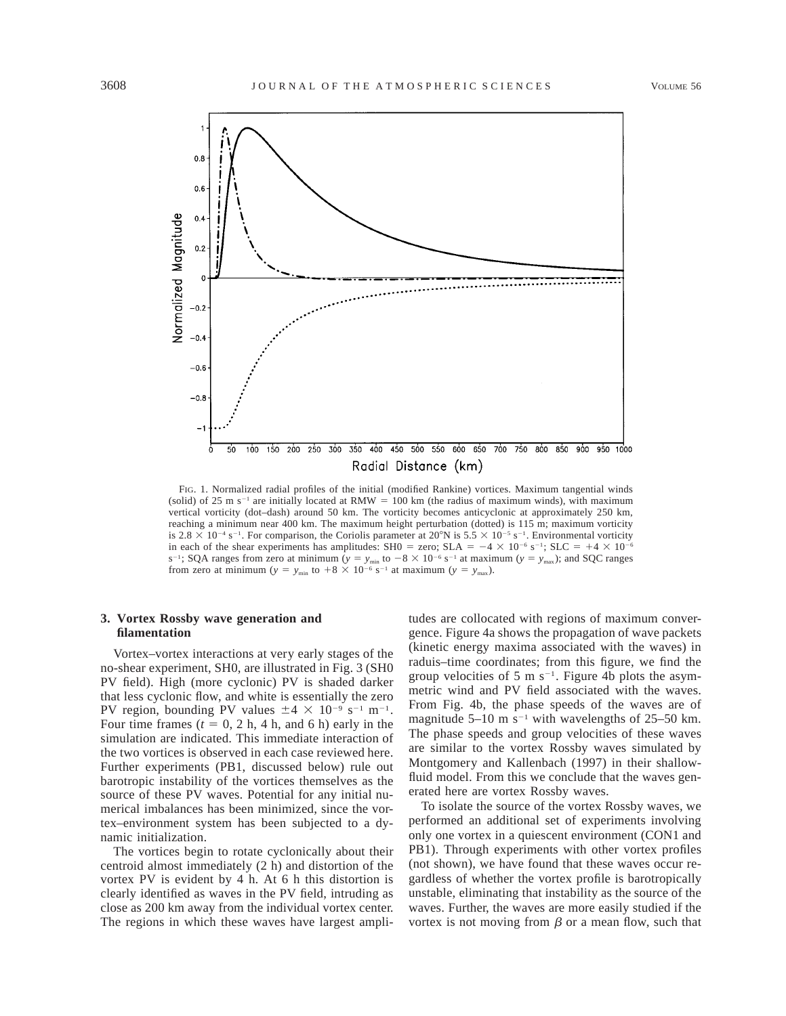

FIG. 1. Normalized radial profiles of the initial (modified Rankine) vortices. Maximum tangential winds (solid) of 25 m s<sup>-1</sup> are initially located at RMW = 100 km (the radius of maximum winds), with maximum vertical vorticity (dot–dash) around 50 km. The vorticity becomes anticyclonic at approximately 250 km, reaching a minimum near 400 km. The maximum height perturbation (dotted) is 115 m; maximum vorticity is  $2.8 \times 10^{-4}$  s<sup>-1</sup>. For comparison, the Coriolis parameter at  $20^{\circ}$ N is  $5.5 \times 10^{-5}$  s<sup>-1</sup>. Environmental vorticity in each of the shear experiments has amplitudes: SH0 = zero; SLA =  $-4 \times 10^{-6}$  s<sup>-1</sup>; SLC =  $+4 \times 10^{-6}$ s<sup>-1</sup>; SQA ranges from zero at minimum  $(y = y_{min}$  to  $-8 \times 10^{-6}$  s<sup>-1</sup> at maximum  $(y = y_{max})$ ; and SQC ranges from zero at minimum ( $y = y_{min}$  to  $+8 \times 10^{-6}$  s<sup>-1</sup> at maximum ( $y = y_{max}$ ).

# **3. Vortex Rossby wave generation and filamentation**

Vortex–vortex interactions at very early stages of the no-shear experiment, SH0, are illustrated in Fig. 3 (SH0 PV field). High (more cyclonic) PV is shaded darker that less cyclonic flow, and white is essentially the zero PV region, bounding PV values  $\pm 4 \times 10^{-9}$  s<sup>-1</sup> m<sup>-1</sup>. Four time frames  $(t = 0, 2 h, 4 h,$  and 6 h) early in the simulation are indicated. This immediate interaction of the two vortices is observed in each case reviewed here. Further experiments (PB1, discussed below) rule out barotropic instability of the vortices themselves as the source of these PV waves. Potential for any initial numerical imbalances has been minimized, since the vortex–environment system has been subjected to a dynamic initialization.

The vortices begin to rotate cyclonically about their centroid almost immediately (2 h) and distortion of the vortex PV is evident by 4 h. At 6 h this distortion is clearly identified as waves in the PV field, intruding as close as 200 km away from the individual vortex center. The regions in which these waves have largest ampli-

tudes are collocated with regions of maximum convergence. Figure 4a shows the propagation of wave packets (kinetic energy maxima associated with the waves) in raduis–time coordinates; from this figure, we find the group velocities of 5 m  $s^{-1}$ . Figure 4b plots the asymmetric wind and PV field associated with the waves. From Fig. 4b, the phase speeds of the waves are of magnitude  $5-10$  m s<sup>-1</sup> with wavelengths of 25–50 km. The phase speeds and group velocities of these waves are similar to the vortex Rossby waves simulated by Montgomery and Kallenbach (1997) in their shallowfluid model. From this we conclude that the waves generated here are vortex Rossby waves.

To isolate the source of the vortex Rossby waves, we performed an additional set of experiments involving only one vortex in a quiescent environment (CON1 and PB1). Through experiments with other vortex profiles (not shown), we have found that these waves occur regardless of whether the vortex profile is barotropically unstable, eliminating that instability as the source of the waves. Further, the waves are more easily studied if the vortex is not moving from  $\beta$  or a mean flow, such that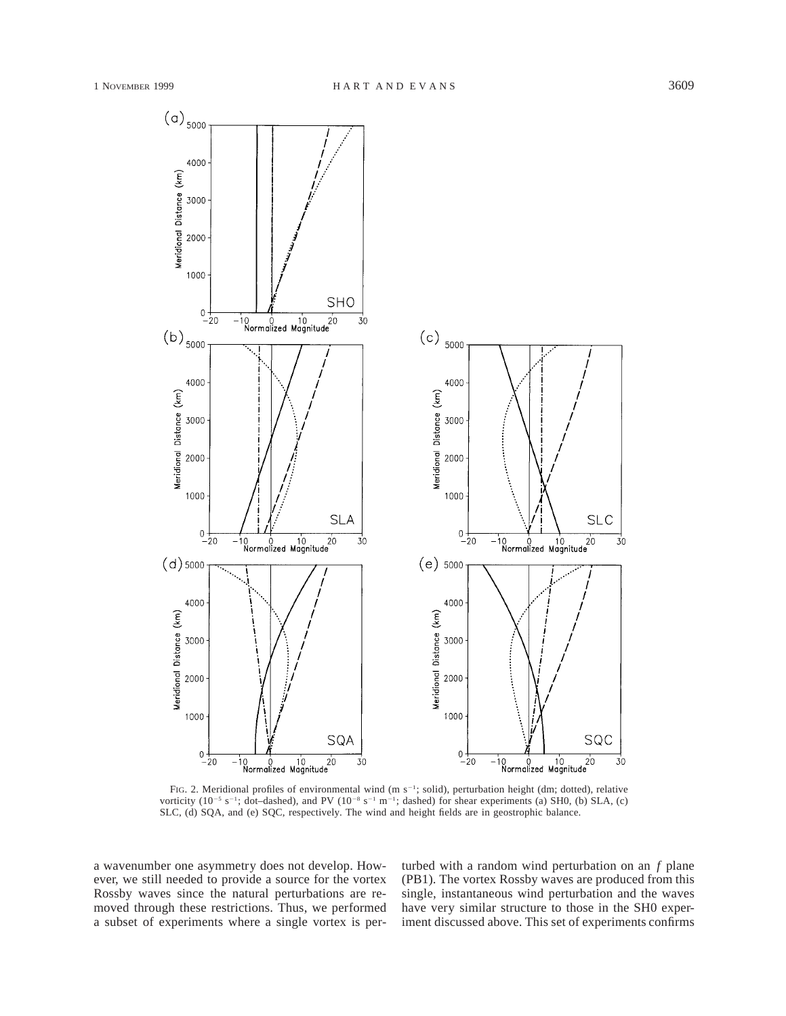

FIG. 2. Meridional profiles of environmental wind (m s<sup>-1</sup>; solid), perturbation height (dm; dotted), relative vorticity (10<sup>-5</sup> s<sup>-1</sup>; dot-dashed), and PV (10<sup>-8</sup> s<sup>-1</sup> m<sup>-1</sup>; dashed) for shear experiments (a) SH0, (b) SLA, (c) SLC, (d) SQA, and (e) SQC, respectively. The wind and height fields are in geostrophic balance.

a wavenumber one asymmetry does not develop. However, we still needed to provide a source for the vortex Rossby waves since the natural perturbations are removed through these restrictions. Thus, we performed a subset of experiments where a single vortex is perturbed with a random wind perturbation on an *f* plane (PB1). The vortex Rossby waves are produced from this single, instantaneous wind perturbation and the waves have very similar structure to those in the SH0 experiment discussed above. This set of experiments confirms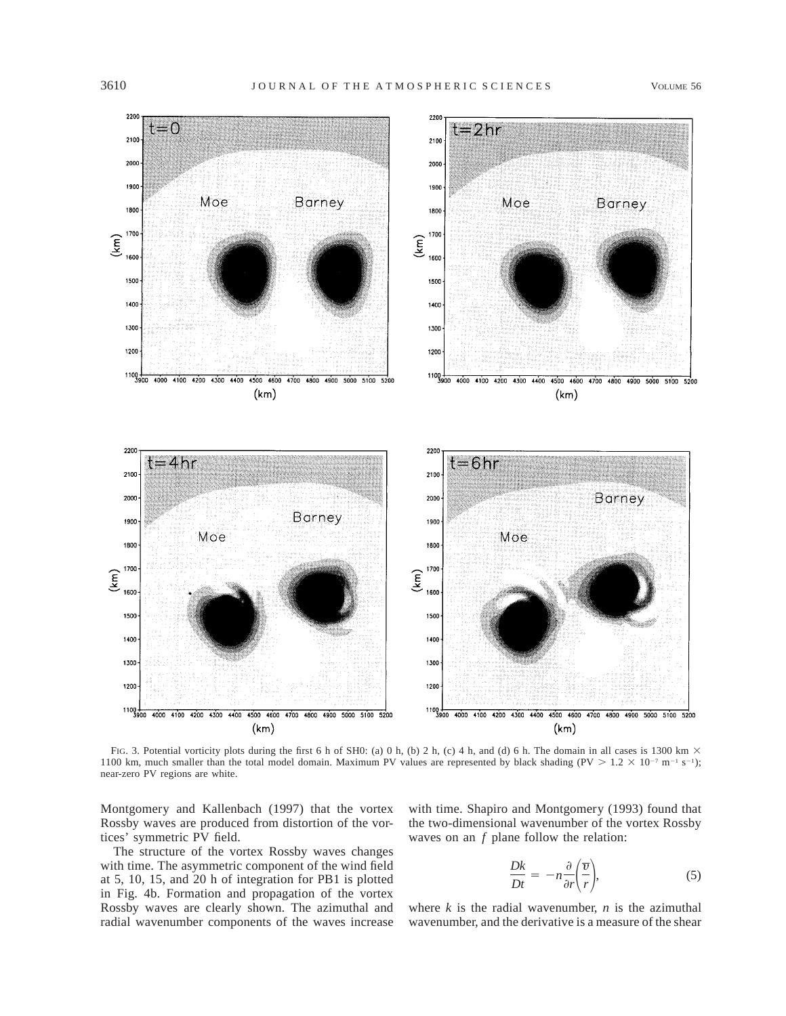

FIG. 3. Potential vorticity plots during the first 6 h of SH0: (a) 0 h, (b) 2 h, (c) 4 h, and (d) 6 h. The domain in all cases is 1300 km  $\times$ 1100 km, much smaller than the total model domain. Maximum PV values are represented by black shading (PV  $> 1.2 \times 10^{-7}$  m<sup>-1</sup> s<sup>-1</sup>); near-zero PV regions are white.

Montgomery and Kallenbach (1997) that the vortex Rossby waves are produced from distortion of the vortices' symmetric PV field.

The structure of the vortex Rossby waves changes with time. The asymmetric component of the wind field at 5, 10, 15, and 20 h of integration for PB1 is plotted in Fig. 4b. Formation and propagation of the vortex Rossby waves are clearly shown. The azimuthal and radial wavenumber components of the waves increase with time. Shapiro and Montgomery (1993) found that the two-dimensional wavenumber of the vortex Rossby waves on an *f* plane follow the relation:

$$
\frac{Dk}{Dt} = -n\frac{\partial}{\partial r}\left(\frac{\overline{v}}{r}\right),\tag{5}
$$

where  $k$  is the radial wavenumber,  $n$  is the azimuthal wavenumber, and the derivative is a measure of the shear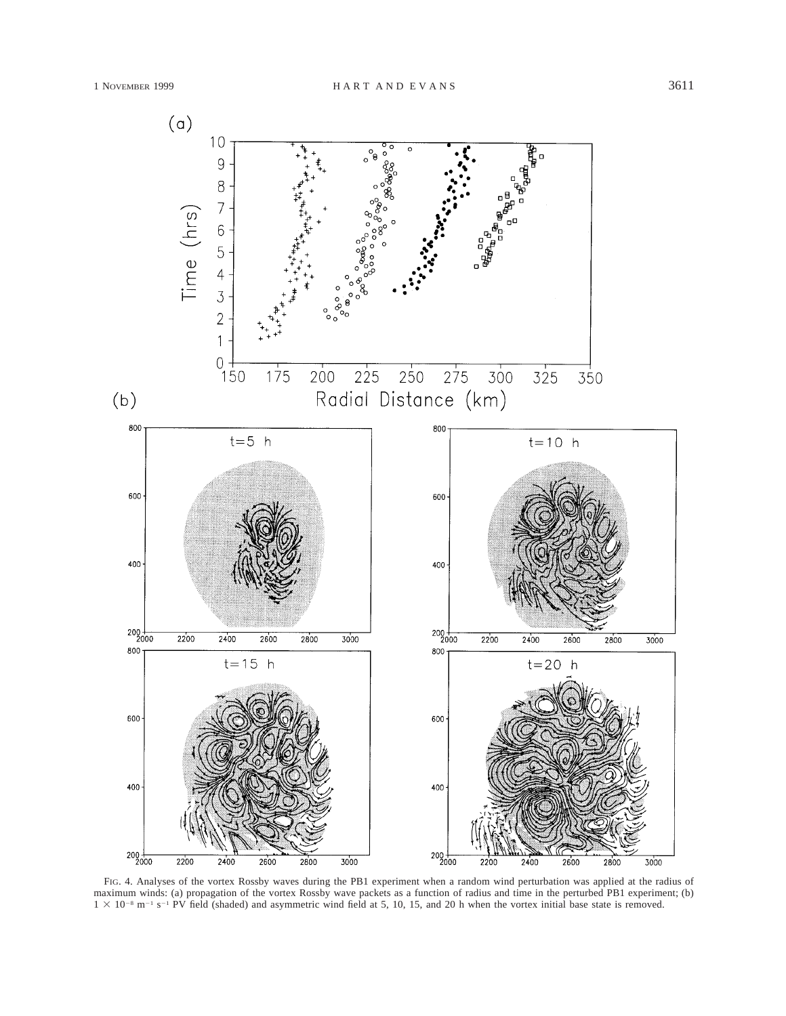

FIG. 4. Analyses of the vortex Rossby waves during the PB1 experiment when a random wind perturbation was applied at the radius of maximum winds: (a) propagation of the vortex Rossby wave packets as a function of radius and time in the perturbed PB1 experiment; (b)  $1 \times 10^{-8}$  m<sup>-1</sup> s<sup>-1</sup> PV field (shaded) and asymmetric wind field at 5, 10, 15, and 20 h when the vortex initial base state is removed.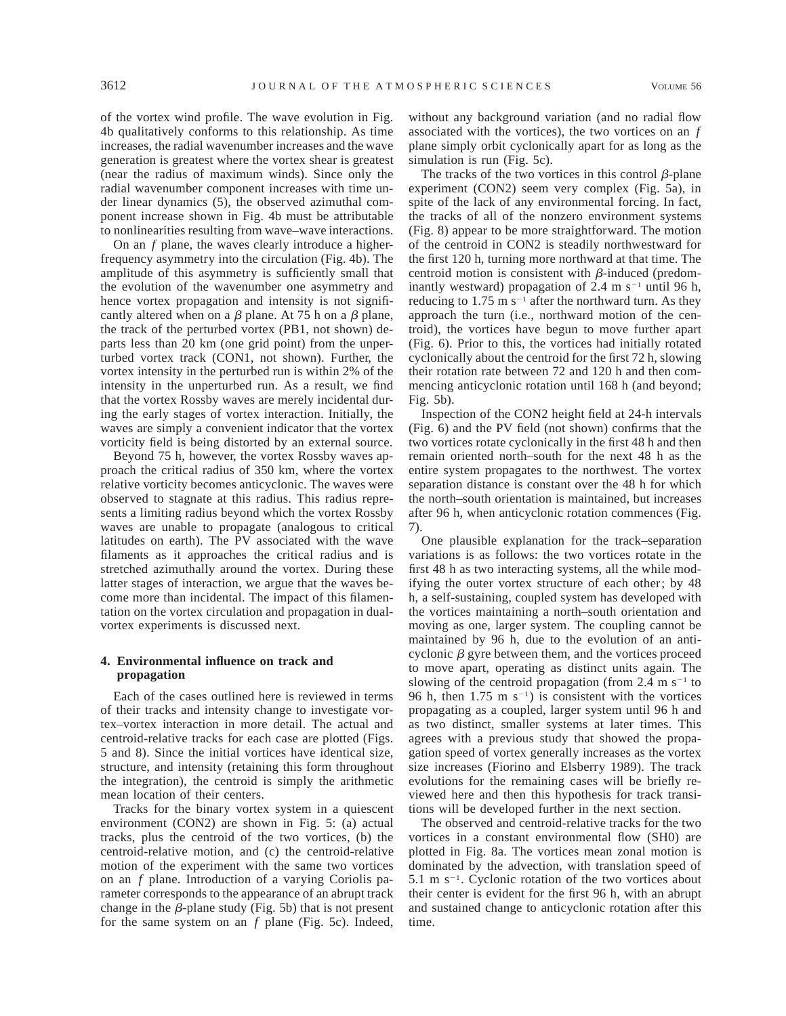of the vortex wind profile. The wave evolution in Fig. 4b qualitatively conforms to this relationship. As time increases, the radial wavenumber increases and the wave generation is greatest where the vortex shear is greatest (near the radius of maximum winds). Since only the radial wavenumber component increases with time under linear dynamics (5), the observed azimuthal component increase shown in Fig. 4b must be attributable to nonlinearities resulting from wave–wave interactions.

On an *f* plane, the waves clearly introduce a higherfrequency asymmetry into the circulation (Fig. 4b). The amplitude of this asymmetry is sufficiently small that the evolution of the wavenumber one asymmetry and hence vortex propagation and intensity is not significantly altered when on a  $\beta$  plane. At 75 h on a  $\beta$  plane, the track of the perturbed vortex (PB1, not shown) departs less than 20 km (one grid point) from the unperturbed vortex track (CON1, not shown). Further, the vortex intensity in the perturbed run is within 2% of the intensity in the unperturbed run. As a result, we find that the vortex Rossby waves are merely incidental during the early stages of vortex interaction. Initially, the waves are simply a convenient indicator that the vortex vorticity field is being distorted by an external source.

Beyond 75 h, however, the vortex Rossby waves approach the critical radius of 350 km, where the vortex relative vorticity becomes anticyclonic. The waves were observed to stagnate at this radius. This radius represents a limiting radius beyond which the vortex Rossby waves are unable to propagate (analogous to critical latitudes on earth). The PV associated with the wave filaments as it approaches the critical radius and is stretched azimuthally around the vortex. During these latter stages of interaction, we argue that the waves become more than incidental. The impact of this filamentation on the vortex circulation and propagation in dualvortex experiments is discussed next.

# **4. Environmental influence on track and propagation**

Each of the cases outlined here is reviewed in terms of their tracks and intensity change to investigate vortex–vortex interaction in more detail. The actual and centroid-relative tracks for each case are plotted (Figs. 5 and 8). Since the initial vortices have identical size, structure, and intensity (retaining this form throughout the integration), the centroid is simply the arithmetic mean location of their centers.

Tracks for the binary vortex system in a quiescent environment (CON2) are shown in Fig. 5: (a) actual tracks, plus the centroid of the two vortices, (b) the centroid-relative motion, and (c) the centroid-relative motion of the experiment with the same two vortices on an *f* plane. Introduction of a varying Coriolis parameter corresponds to the appearance of an abrupt track change in the  $\beta$ -plane study (Fig. 5b) that is not present for the same system on an *f* plane (Fig. 5c). Indeed,

without any background variation (and no radial flow associated with the vortices), the two vortices on an *f* plane simply orbit cyclonically apart for as long as the simulation is run (Fig. 5c).

The tracks of the two vortices in this control  $\beta$ -plane experiment (CON2) seem very complex (Fig. 5a), in spite of the lack of any environmental forcing. In fact, the tracks of all of the nonzero environment systems (Fig. 8) appear to be more straightforward. The motion of the centroid in CON2 is steadily northwestward for the first 120 h, turning more northward at that time. The centroid motion is consistent with  $\beta$ -induced (predominantly westward) propagation of 2.4 m  $s^{-1}$  until 96 h, reducing to 1.75 m  $s^{-1}$  after the northward turn. As they approach the turn (i.e., northward motion of the centroid), the vortices have begun to move further apart (Fig. 6). Prior to this, the vortices had initially rotated cyclonically about the centroid for the first 72 h, slowing their rotation rate between 72 and 120 h and then commencing anticyclonic rotation until 168 h (and beyond; Fig. 5b).

Inspection of the CON2 height field at 24-h intervals (Fig. 6) and the PV field (not shown) confirms that the two vortices rotate cyclonically in the first 48 h and then remain oriented north–south for the next 48 h as the entire system propagates to the northwest. The vortex separation distance is constant over the 48 h for which the north–south orientation is maintained, but increases after 96 h, when anticyclonic rotation commences (Fig. 7).

One plausible explanation for the track–separation variations is as follows: the two vortices rotate in the first 48 h as two interacting systems, all the while modifying the outer vortex structure of each other; by 48 h, a self-sustaining, coupled system has developed with the vortices maintaining a north–south orientation and moving as one, larger system. The coupling cannot be maintained by 96 h, due to the evolution of an anticyclonic  $\beta$  gyre between them, and the vortices proceed to move apart, operating as distinct units again. The slowing of the centroid propagation (from 2.4 m  $s^{-1}$  to 96 h, then  $1.75 \text{ m s}^{-1}$  is consistent with the vortices propagating as a coupled, larger system until 96 h and as two distinct, smaller systems at later times. This agrees with a previous study that showed the propagation speed of vortex generally increases as the vortex size increases (Fiorino and Elsberry 1989). The track evolutions for the remaining cases will be briefly reviewed here and then this hypothesis for track transitions will be developed further in the next section.

The observed and centroid-relative tracks for the two vortices in a constant environmental flow (SH0) are plotted in Fig. 8a. The vortices mean zonal motion is dominated by the advection, with translation speed of 5.1 m  $s^{-1}$ . Cyclonic rotation of the two vortices about their center is evident for the first 96 h, with an abrupt and sustained change to anticyclonic rotation after this time.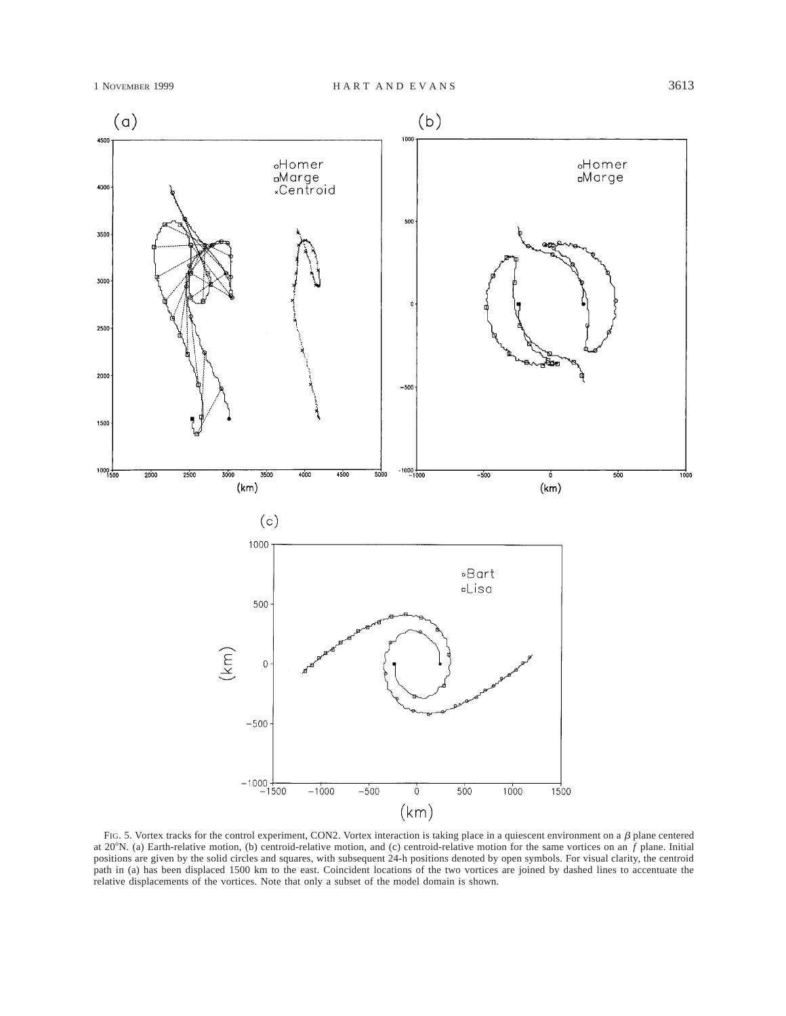

FIG. 5. Vortex tracks for the control experiment, CON2. Vortex interaction is taking place in a quiescent environment on a  $\beta$  plane centered at 20°N. (a) Earth-relative motion, (b) centroid-relative motion, and (c) centroid-relative motion for the same vortices on an  $\hat{f}$  plane. Initial positions are given by the solid circles and squares, with subsequent 24-h positions denoted by open symbols. For visual clarity, the centroid path in (a) has been displaced 1500 km to the east. Coincident locations of the two vortices are joined by dashed lines to accentuate the relative displacements of the vortices. Note that only a subset of the model domain is shown.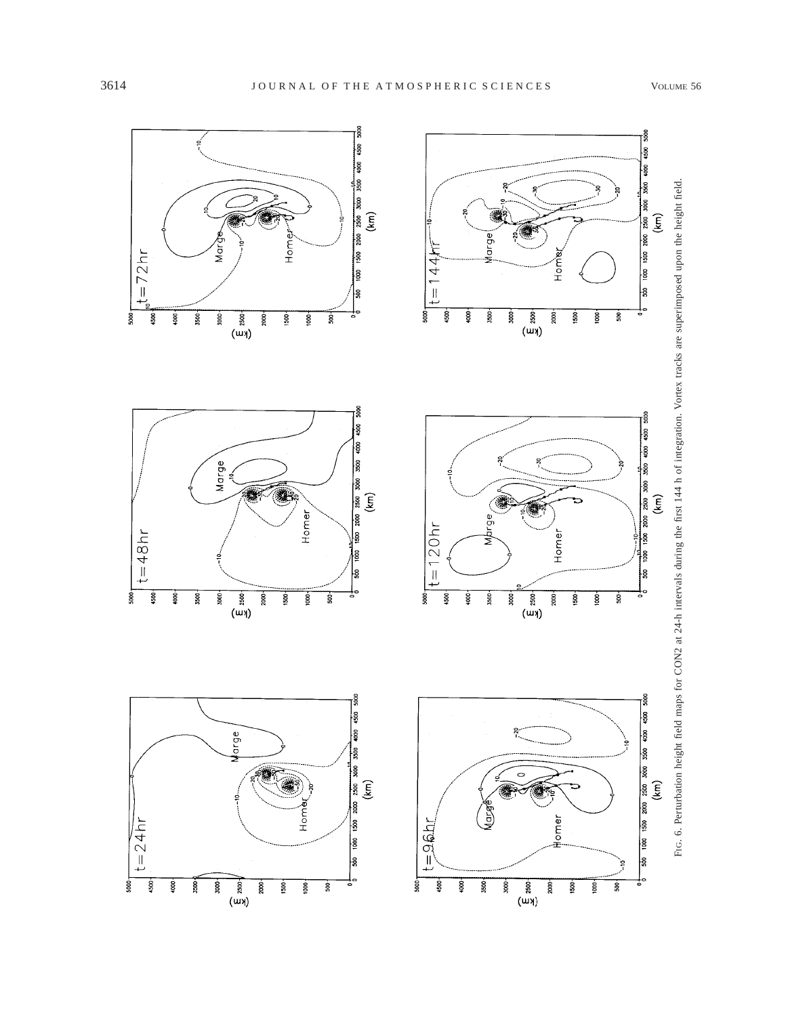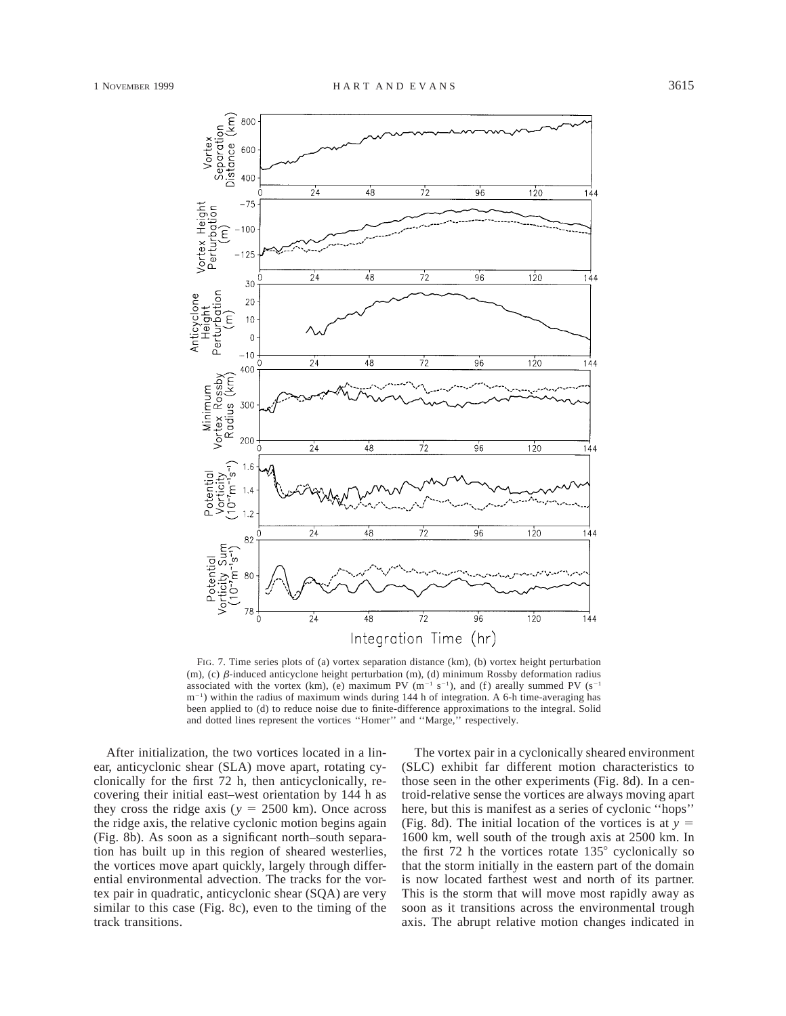

FIG. 7. Time series plots of (a) vortex separation distance (km), (b) vortex height perturbation (m), (c)  $\beta$ -induced anticyclone height perturbation (m), (d) minimum Rossby deformation radius associated with the vortex (km), (e) maximum PV ( $m^{-1}$  s<sup>-1</sup>), and (f) areally summed PV (s<sup>-1</sup>)  $m^{-1}$ ) within the radius of maximum winds during 144 h of integration. A 6-h time-averaging has been applied to (d) to reduce noise due to finite-difference approximations to the integral. Solid and dotted lines represent the vortices ''Homer'' and ''Marge,'' respectively.

After initialization, the two vortices located in a linear, anticyclonic shear (SLA) move apart, rotating cyclonically for the first 72 h, then anticyclonically, recovering their initial east–west orientation by 144 h as they cross the ridge axis ( $y = 2500$  km). Once across the ridge axis, the relative cyclonic motion begins again (Fig. 8b). As soon as a significant north–south separation has built up in this region of sheared westerlies, the vortices move apart quickly, largely through differential environmental advection. The tracks for the vortex pair in quadratic, anticyclonic shear (SQA) are very similar to this case (Fig. 8c), even to the timing of the track transitions.

The vortex pair in a cyclonically sheared environment (SLC) exhibit far different motion characteristics to those seen in the other experiments (Fig. 8d). In a centroid-relative sense the vortices are always moving apart here, but this is manifest as a series of cyclonic ''hops'' (Fig. 8d). The initial location of the vortices is at  $y =$ 1600 km, well south of the trough axis at 2500 km. In the first 72 h the vortices rotate  $135^{\circ}$  cyclonically so that the storm initially in the eastern part of the domain is now located farthest west and north of its partner. This is the storm that will move most rapidly away as soon as it transitions across the environmental trough axis. The abrupt relative motion changes indicated in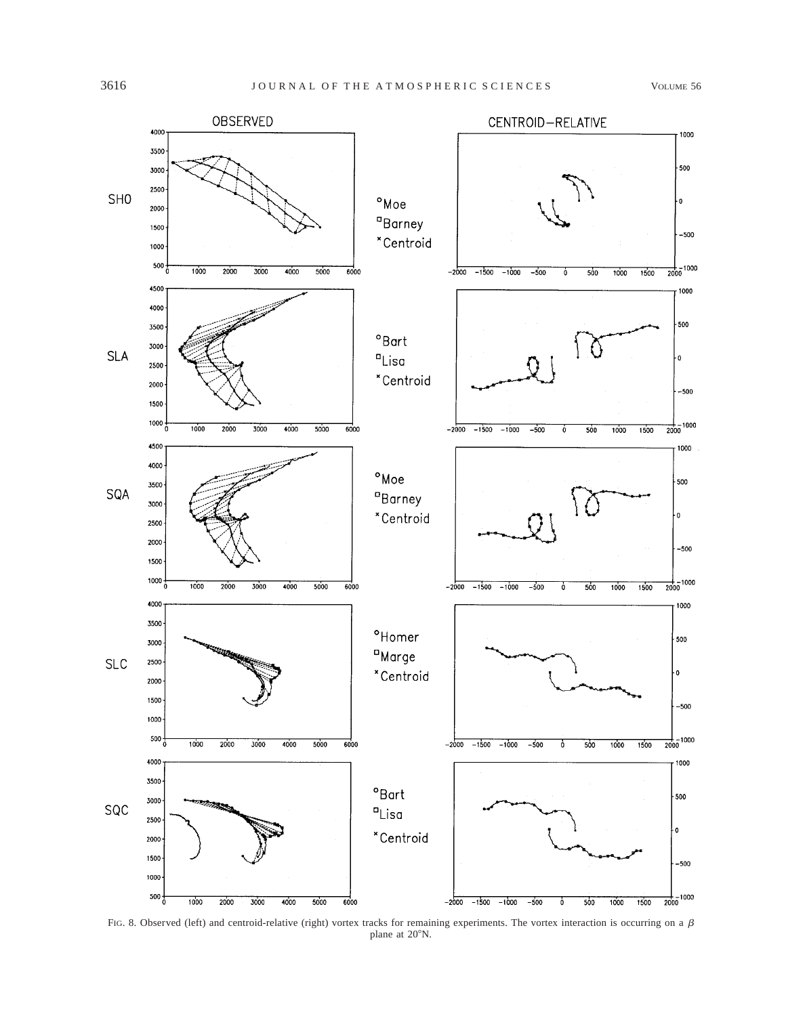

FIG. 8. Observed (left) and centroid-relative (right) vortex tracks for remaining experiments. The vortex interaction is occurring on a  $\beta$ plane at 20°N.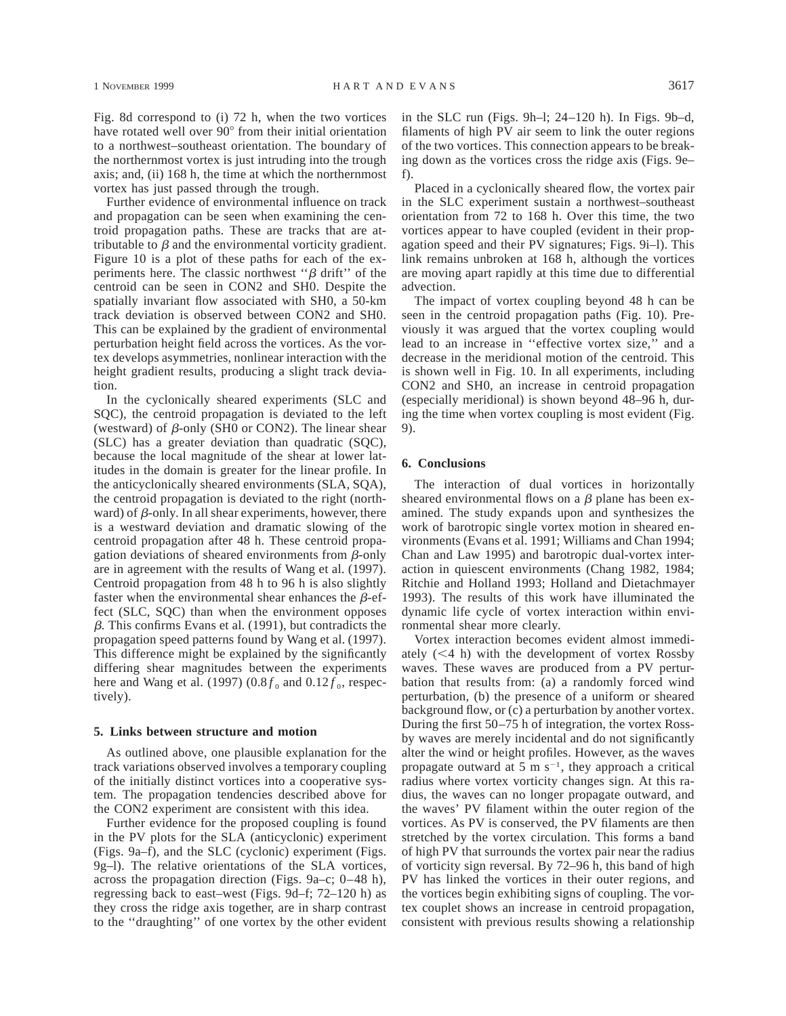Fig. 8d correspond to (i) 72 h, when the two vortices have rotated well over 90° from their initial orientation to a northwest–southeast orientation. The boundary of the northernmost vortex is just intruding into the trough axis; and, (ii) 168 h, the time at which the northernmost vortex has just passed through the trough.

Further evidence of environmental influence on track and propagation can be seen when examining the centroid propagation paths. These are tracks that are attributable to  $\beta$  and the environmental vorticity gradient. Figure 10 is a plot of these paths for each of the experiments here. The classic northwest " $\beta$  drift" of the centroid can be seen in CON2 and SH0. Despite the spatially invariant flow associated with SH0, a 50-km track deviation is observed between CON2 and SH0. This can be explained by the gradient of environmental perturbation height field across the vortices. As the vortex develops asymmetries, nonlinear interaction with the height gradient results, producing a slight track deviation.

In the cyclonically sheared experiments (SLC and SQC), the centroid propagation is deviated to the left (westward) of  $\beta$ -only (SH0 or CON2). The linear shear (SLC) has a greater deviation than quadratic (SQC), because the local magnitude of the shear at lower latitudes in the domain is greater for the linear profile. In the anticyclonically sheared environments (SLA, SQA), the centroid propagation is deviated to the right (northward) of  $\beta$ -only. In all shear experiments, however, there is a westward deviation and dramatic slowing of the centroid propagation after 48 h. These centroid propagation deviations of sheared environments from  $\beta$ -only are in agreement with the results of Wang et al. (1997). Centroid propagation from 48 h to 96 h is also slightly faster when the environmental shear enhances the  $\beta$ -effect (SLC, SQC) than when the environment opposes b*.* This confirms Evans et al. (1991), but contradicts the propagation speed patterns found by Wang et al. (1997). This difference might be explained by the significantly differing shear magnitudes between the experiments here and Wang et al. (1997)  $(0.8 f_0$  and  $0.12 f_0$ , respectively).

#### **5. Links between structure and motion**

As outlined above, one plausible explanation for the track variations observed involves a temporary coupling of the initially distinct vortices into a cooperative system. The propagation tendencies described above for the CON2 experiment are consistent with this idea.

Further evidence for the proposed coupling is found in the PV plots for the SLA (anticyclonic) experiment (Figs. 9a–f), and the SLC (cyclonic) experiment (Figs. 9g–l). The relative orientations of the SLA vortices, across the propagation direction (Figs. 9a–c; 0–48 h), regressing back to east–west (Figs. 9d–f; 72–120 h) as they cross the ridge axis together, are in sharp contrast to the ''draughting'' of one vortex by the other evident in the SLC run (Figs. 9h–l; 24–120 h). In Figs. 9b–d, filaments of high PV air seem to link the outer regions of the two vortices. This connection appears to be breaking down as the vortices cross the ridge axis (Figs. 9e– f).

Placed in a cyclonically sheared flow, the vortex pair in the SLC experiment sustain a northwest–southeast orientation from 72 to 168 h. Over this time, the two vortices appear to have coupled (evident in their propagation speed and their PV signatures; Figs. 9i–l). This link remains unbroken at 168 h, although the vortices are moving apart rapidly at this time due to differential advection.

The impact of vortex coupling beyond 48 h can be seen in the centroid propagation paths (Fig. 10). Previously it was argued that the vortex coupling would lead to an increase in ''effective vortex size,'' and a decrease in the meridional motion of the centroid. This is shown well in Fig. 10. In all experiments, including CON2 and SH0, an increase in centroid propagation (especially meridional) is shown beyond 48–96 h, during the time when vortex coupling is most evident (Fig. 9).

## **6. Conclusions**

The interaction of dual vortices in horizontally sheared environmental flows on a  $\beta$  plane has been examined. The study expands upon and synthesizes the work of barotropic single vortex motion in sheared environments (Evans et al. 1991; Williams and Chan 1994; Chan and Law 1995) and barotropic dual-vortex interaction in quiescent environments (Chang 1982, 1984; Ritchie and Holland 1993; Holland and Dietachmayer 1993). The results of this work have illuminated the dynamic life cycle of vortex interaction within environmental shear more clearly.

Vortex interaction becomes evident almost immediately  $(< 4 h)$  with the development of vortex Rossby waves. These waves are produced from a PV perturbation that results from: (a) a randomly forced wind perturbation, (b) the presence of a uniform or sheared background flow, or (c) a perturbation by another vortex. During the first 50–75 h of integration, the vortex Rossby waves are merely incidental and do not significantly alter the wind or height profiles. However, as the waves propagate outward at 5 m  $s^{-1}$ , they approach a critical radius where vortex vorticity changes sign. At this radius, the waves can no longer propagate outward, and the waves' PV filament within the outer region of the vortices. As PV is conserved, the PV filaments are then stretched by the vortex circulation. This forms a band of high PV that surrounds the vortex pair near the radius of vorticity sign reversal. By 72–96 h, this band of high PV has linked the vortices in their outer regions, and the vortices begin exhibiting signs of coupling. The vortex couplet shows an increase in centroid propagation, consistent with previous results showing a relationship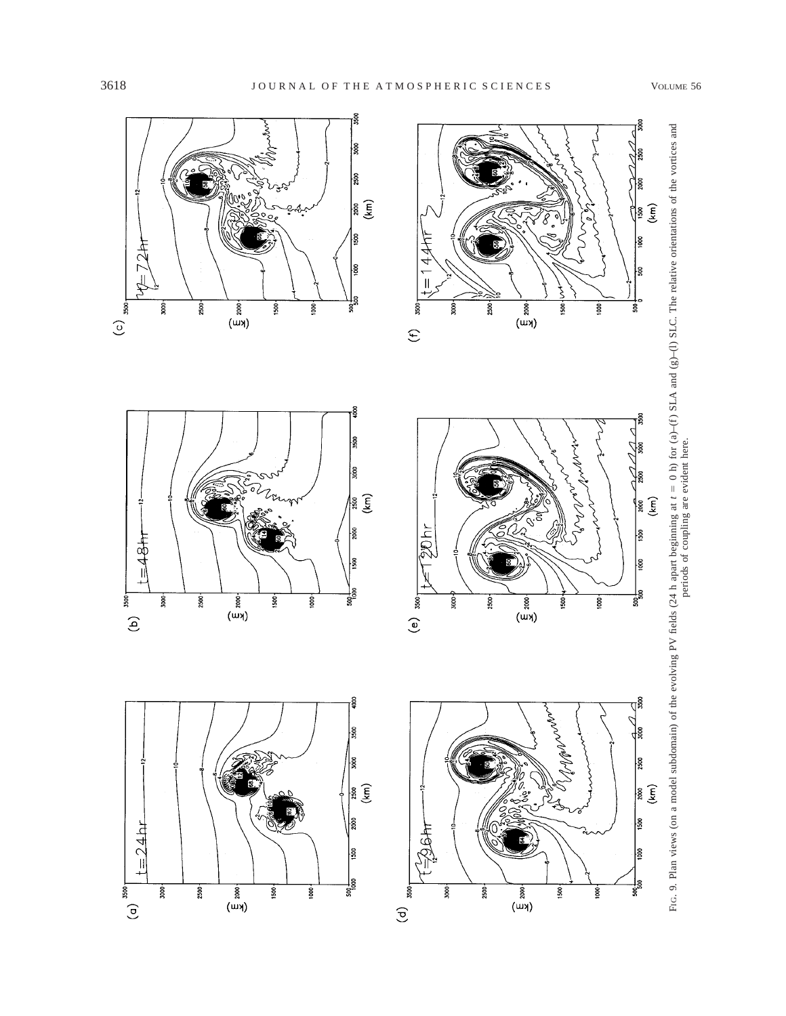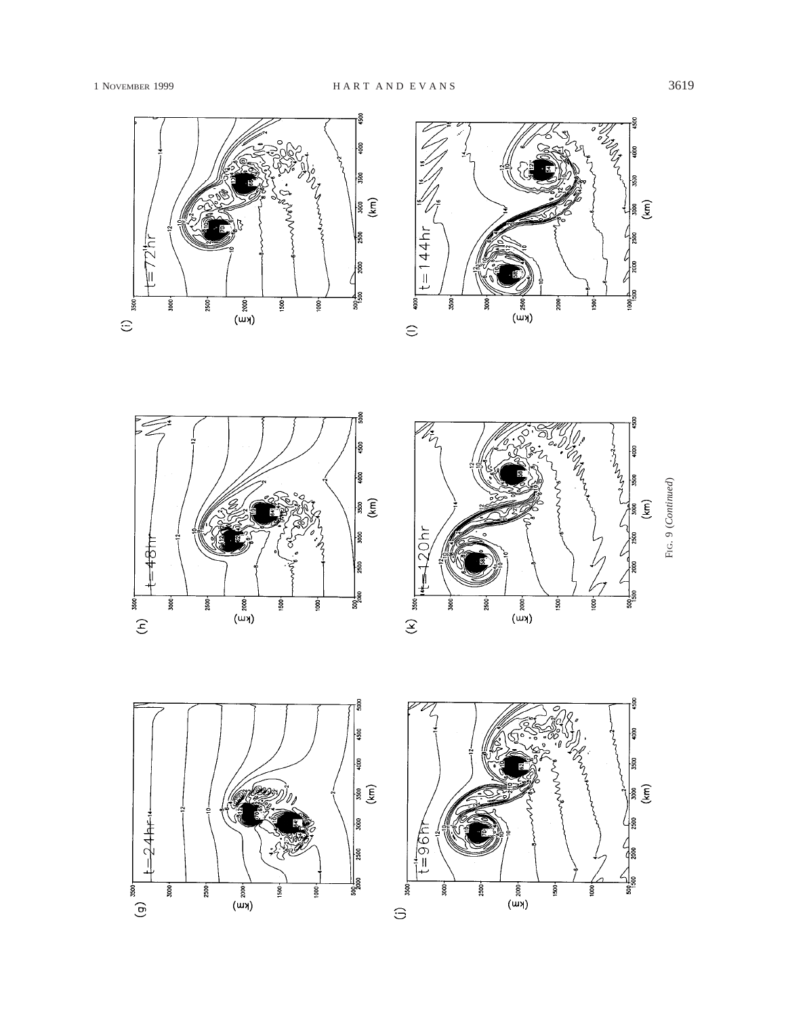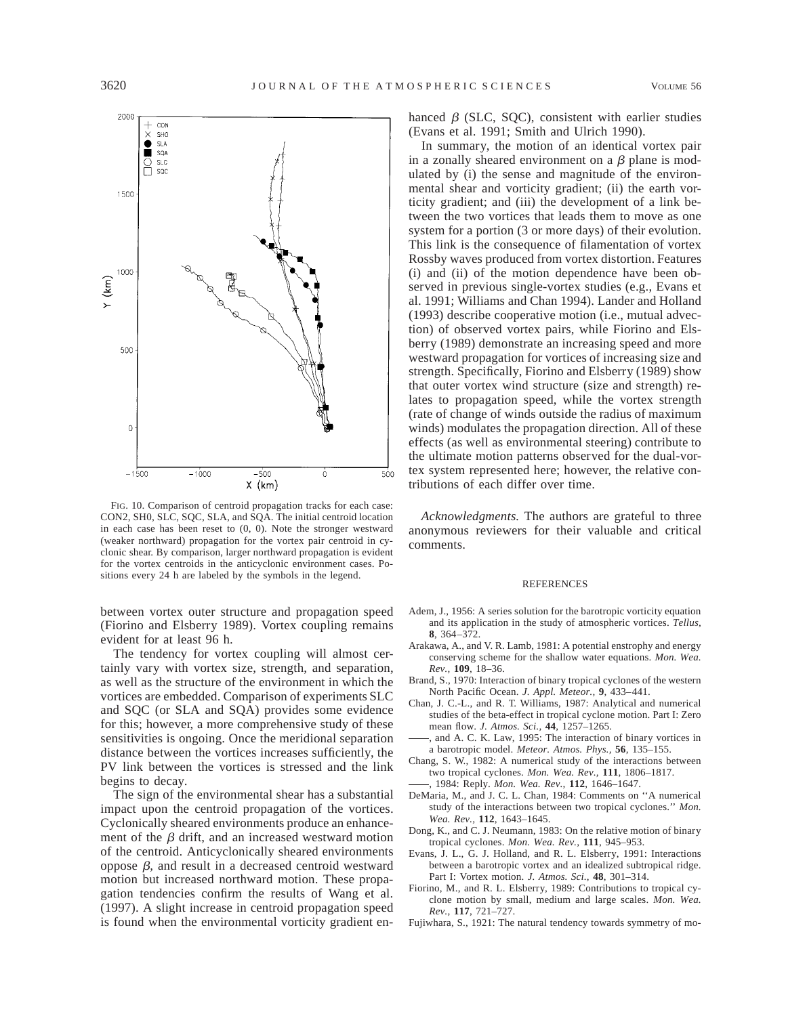

FIG. 10. Comparison of centroid propagation tracks for each case: CON2, SH0, SLC, SQC, SLA, and SQA. The initial centroid location in each case has been reset to  $(0, 0)$ . Note the stronger westward (weaker northward) propagation for the vortex pair centroid in cyclonic shear. By comparison, larger northward propagation is evident for the vortex centroids in the anticyclonic environment cases. Positions every 24 h are labeled by the symbols in the legend.

between vortex outer structure and propagation speed (Fiorino and Elsberry 1989). Vortex coupling remains evident for at least 96 h.

The tendency for vortex coupling will almost certainly vary with vortex size, strength, and separation, as well as the structure of the environment in which the vortices are embedded. Comparison of experiments SLC and SQC (or SLA and SQA) provides some evidence for this; however, a more comprehensive study of these sensitivities is ongoing. Once the meridional separation distance between the vortices increases sufficiently, the PV link between the vortices is stressed and the link begins to decay.

The sign of the environmental shear has a substantial impact upon the centroid propagation of the vortices. Cyclonically sheared environments produce an enhancement of the  $\beta$  drift, and an increased westward motion of the centroid. Anticyclonically sheared environments oppose  $β$ , and result in a decreased centroid westward motion but increased northward motion. These propagation tendencies confirm the results of Wang et al. (1997). A slight increase in centroid propagation speed is found when the environmental vorticity gradient enhanced  $\beta$  (SLC, SQC), consistent with earlier studies (Evans et al. 1991; Smith and Ulrich 1990).

In summary, the motion of an identical vortex pair in a zonally sheared environment on a  $\beta$  plane is modulated by (i) the sense and magnitude of the environmental shear and vorticity gradient; (ii) the earth vorticity gradient; and (iii) the development of a link between the two vortices that leads them to move as one system for a portion (3 or more days) of their evolution. This link is the consequence of filamentation of vortex Rossby waves produced from vortex distortion. Features (i) and (ii) of the motion dependence have been observed in previous single-vortex studies (e.g., Evans et al. 1991; Williams and Chan 1994). Lander and Holland (1993) describe cooperative motion (i.e., mutual advection) of observed vortex pairs, while Fiorino and Elsberry (1989) demonstrate an increasing speed and more westward propagation for vortices of increasing size and strength. Specifically, Fiorino and Elsberry (1989) show that outer vortex wind structure (size and strength) relates to propagation speed, while the vortex strength (rate of change of winds outside the radius of maximum winds) modulates the propagation direction. All of these effects (as well as environmental steering) contribute to the ultimate motion patterns observed for the dual-vortex system represented here; however, the relative contributions of each differ over time.

*Acknowledgments.* The authors are grateful to three anonymous reviewers for their valuable and critical comments.

#### **REFERENCES**

- Adem, J., 1956: A series solution for the barotropic vorticity equation and its application in the study of atmospheric vortices. *Tellus,* **8**, 364–372.
- Arakawa, A., and V. R. Lamb, 1981: A potential enstrophy and energy conserving scheme for the shallow water equations. *Mon. Wea. Rev.,* **109**, 18–36.
- Brand, S., 1970: Interaction of binary tropical cyclones of the western North Pacific Ocean. *J. Appl. Meteor.,* **9**, 433–441.
- Chan, J. C.-L., and R. T. Williams, 1987: Analytical and numerical studies of the beta-effect in tropical cyclone motion. Part I: Zero mean flow. *J. Atmos. Sci.,* **44**, 1257–1265.
- , and A. C. K. Law, 1995: The interaction of binary vortices in a barotropic model. *Meteor. Atmos. Phys.,* **56**, 135–155.
- Chang, S. W., 1982: A numerical study of the interactions between two tropical cyclones. *Mon. Wea. Rev.,* **111**, 1806–1817. , 1984: Reply. *Mon. Wea. Rev.,* **112**, 1646–1647.
- DeMaria, M., and J. C. L. Chan, 1984: Comments on ''A numerical
- study of the interactions between two tropical cyclones.'' *Mon. Wea. Rev.,* **112**, 1643–1645.
- Dong, K., and C. J. Neumann, 1983: On the relative motion of binary tropical cyclones. *Mon. Wea. Rev.,* **111**, 945–953.
- Evans, J. L., G. J. Holland, and R. L. Elsberry, 1991: Interactions between a barotropic vortex and an idealized subtropical ridge. Part I: Vortex motion. *J. Atmos. Sci.,* **48**, 301–314.
- Fiorino, M., and R. L. Elsberry, 1989: Contributions to tropical cyclone motion by small, medium and large scales. *Mon. Wea. Rev.,* **117**, 721–727.
- Fujiwhara, S., 1921: The natural tendency towards symmetry of mo-